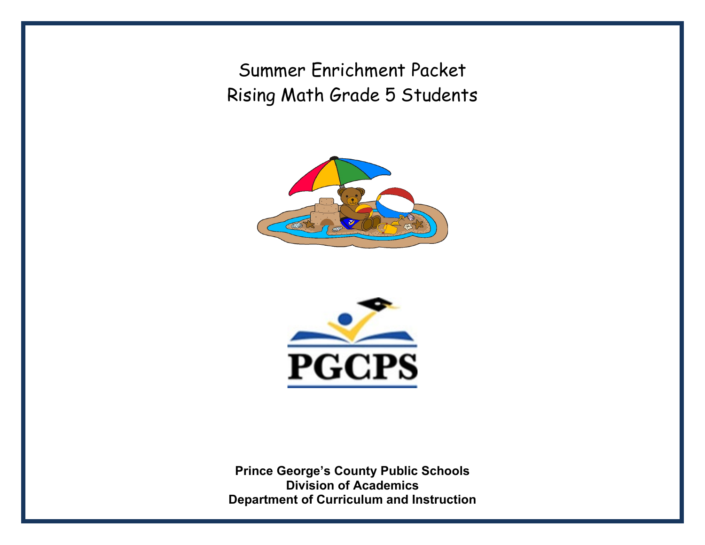Summer Enrichment Packet Rising Math Grade 5 Students





**Prince George's County Public Schools Division of Academics Department of Curriculum and Instruction**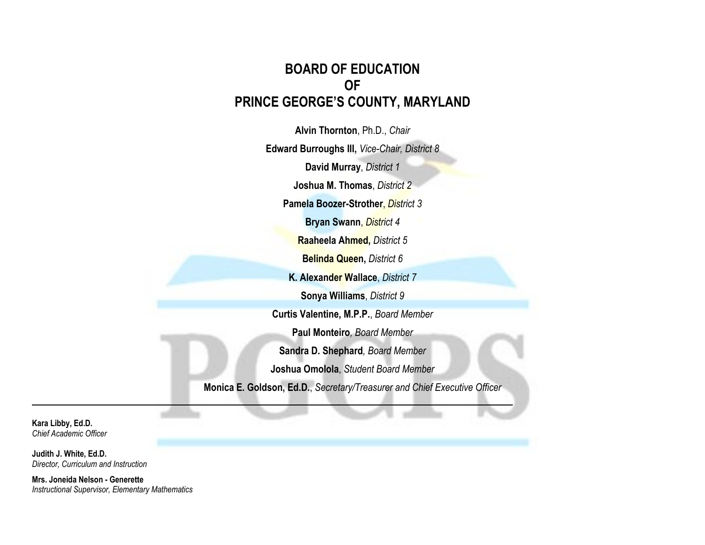## **BOARD OF EDUCATION OF PRINCE GEORGE'S COUNTY, MARYLAND**

**Alvin Thornton**, Ph.D., *Chair* **Edward Burroughs III,** *Vice-Chair, District 8* **David Murray**, *District 1* **Joshua M. Thomas**, *District 2* **Pamela Boozer-Strother**, *District 3* **Bryan Swann**, *District 4* **Raaheela Ahmed,** *District 5* **Belinda Queen,** *District 6* **K. Alexander Wallace**, *District 7* **Sonya Williams**, *District 9* **Curtis Valentine, M.P.P.**, *Board Member* **Paul Monteiro***, Board Member* **Sandra D. Shephard***, Board Member* **Joshua Omolola**, *Student Board Member* **Monica E. Goldson, Ed.D.**, *Secretary/Treasurer and Chief Executive Officer*

**Kara Libby, Ed.D.** *Chief Academic Officer*

**Judith J. White, Ed.D.** *Director, Curriculum and Instruction*

**Mrs. Joneida Nelson - Generette** *Instructional Supervisor, Elementary Mathematics*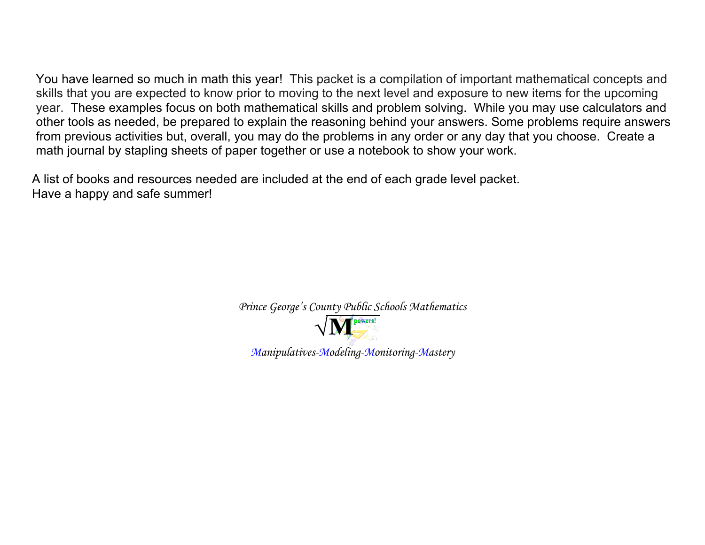You have learned so much in math this year! This packet is a compilation of important mathematical concepts and skills that you are expected to know prior to moving to the next level and exposure to new items for the upcoming year. These examples focus on both mathematical skills and problem solving. While you may use calculators and other tools as needed, be prepared to explain the reasoning behind your answers. Some problems require answers from previous activities but, overall, you may do the problems in any order or any day that you choose. Create a math journal by stapling sheets of paper together or use a notebook to show your work.

A list of books and resources needed are included at the end of each grade level packet. Have a happy and safe summer!

*Prince George's County Public Schools Mathematics*

*Manipulatives-Modeling-Monitoring-Mastery*  $\sqrt{2}$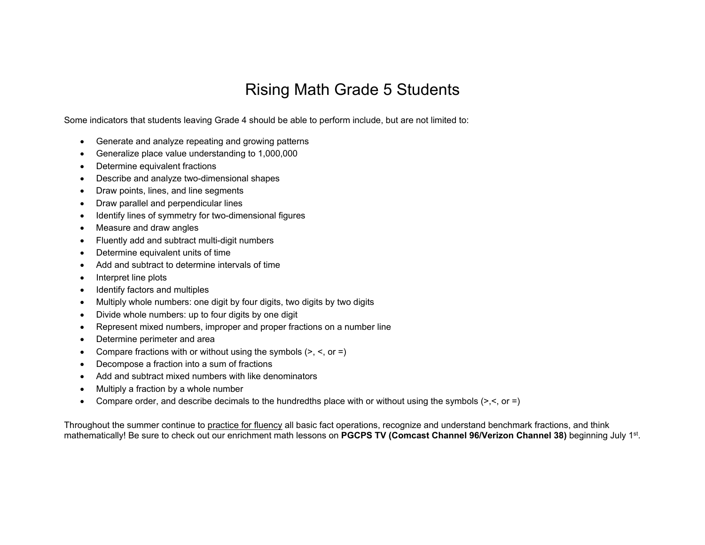## Rising Math Grade 5 Students

Some indicators that students leaving Grade 4 should be able to perform include, but are not limited to:

- Generate and analyze repeating and growing patterns
- Generalize place value understanding to 1,000,000
- Determine equivalent fractions
- Describe and analyze two-dimensional shapes
- Draw points, lines, and line segments
- Draw parallel and perpendicular lines
- Identify lines of symmetry for two-dimensional figures
- Measure and draw angles
- Fluently add and subtract multi-digit numbers
- Determine equivalent units of time
- Add and subtract to determine intervals of time
- Interpret line plots
- Identify factors and multiples
- Multiply whole numbers: one digit by four digits, two digits by two digits
- Divide whole numbers: up to four digits by one digit
- Represent mixed numbers, improper and proper fractions on a number line
- Determine perimeter and area
- Compare fractions with or without using the symbols  $(>, <, or =)$
- Decompose a fraction into a sum of fractions
- Add and subtract mixed numbers with like denominators
- Multiply a fraction by a whole number
- Compare order, and describe decimals to the hundredths place with or without using the symbols  $(>,<, or =)$

Throughout the summer continue to practice for fluency all basic fact operations, recognize and understand benchmark fractions, and think mathematically! Be sure to check out our enrichment math lessons on **PGCPS TV (Comcast Channel 96/Verizon Channel 38)** beginning July 1st.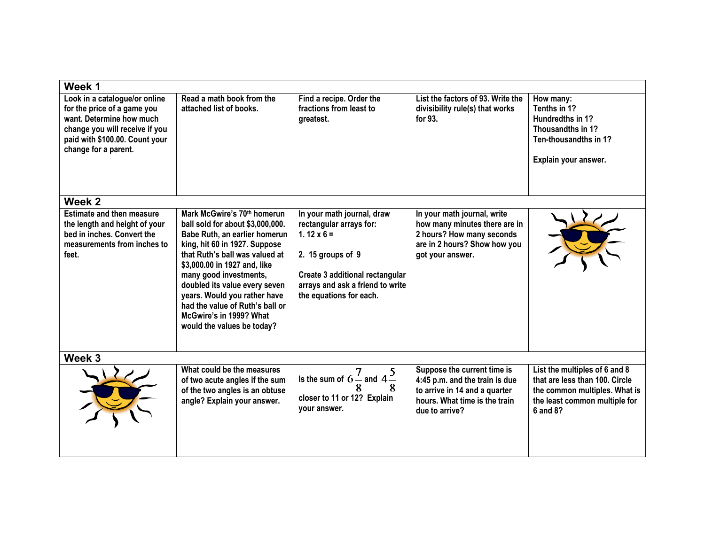| Week 1                                                                                                                                                                               |                                                                                                                                                                                                                                                                                                                                                                                            |                                                                                                                                                                                                    |                                                                                                                                                   |                                                                                                                                               |
|--------------------------------------------------------------------------------------------------------------------------------------------------------------------------------------|--------------------------------------------------------------------------------------------------------------------------------------------------------------------------------------------------------------------------------------------------------------------------------------------------------------------------------------------------------------------------------------------|----------------------------------------------------------------------------------------------------------------------------------------------------------------------------------------------------|---------------------------------------------------------------------------------------------------------------------------------------------------|-----------------------------------------------------------------------------------------------------------------------------------------------|
| Look in a catalogue/or online<br>for the price of a game you<br>want. Determine how much<br>change you will receive if you<br>paid with \$100.00. Count your<br>change for a parent. | Read a math book from the<br>attached list of books.                                                                                                                                                                                                                                                                                                                                       | Find a recipe. Order the<br>fractions from least to<br>greatest.                                                                                                                                   | List the factors of 93. Write the<br>divisibility rule(s) that works<br>for 93.                                                                   | How many:<br>Tenths in 1?<br>Hundredths in 1?<br>Thousandths in 1?<br>Ten-thousandths in 1?<br>Explain your answer.                           |
| Week 2                                                                                                                                                                               |                                                                                                                                                                                                                                                                                                                                                                                            |                                                                                                                                                                                                    |                                                                                                                                                   |                                                                                                                                               |
| <b>Estimate and then measure</b><br>the length and height of your<br>bed in inches. Convert the<br>measurements from inches to<br>feet.                                              | Mark McGwire's 70th homerun<br>ball sold for about \$3,000,000.<br>Babe Ruth, an earlier homerun<br>king, hit 60 in 1927. Suppose<br>that Ruth's ball was valued at<br>\$3,000.00 in 1927 and, like<br>many good investments,<br>doubled its value every seven<br>years. Would you rather have<br>had the value of Ruth's ball or<br>McGwire's in 1999? What<br>would the values be today? | In your math journal, draw<br>rectangular arrays for:<br>1. $12 \times 6 =$<br>2. 15 groups of 9<br>Create 3 additional rectangular<br>arrays and ask a friend to write<br>the equations for each. | In your math journal, write<br>how many minutes there are in<br>2 hours? How many seconds<br>are in 2 hours? Show how you<br>got your answer.     |                                                                                                                                               |
| Week 3                                                                                                                                                                               |                                                                                                                                                                                                                                                                                                                                                                                            |                                                                                                                                                                                                    |                                                                                                                                                   |                                                                                                                                               |
|                                                                                                                                                                                      | What could be the measures<br>of two acute angles if the sum<br>of the two angles is an obtuse<br>angle? Explain your answer.                                                                                                                                                                                                                                                              | $\overline{7}$<br>5 <sup>1</sup><br>Is the sum of $6-$ and $4-$<br>closer to 11 or 12? Explain<br>your answer.                                                                                     | Suppose the current time is<br>4:45 p.m. and the train is due<br>to arrive in 14 and a quarter<br>hours. What time is the train<br>due to arrive? | List the multiples of 6 and 8<br>that are less than 100. Circle<br>the common multiples. What is<br>the least common multiple for<br>6 and 8? |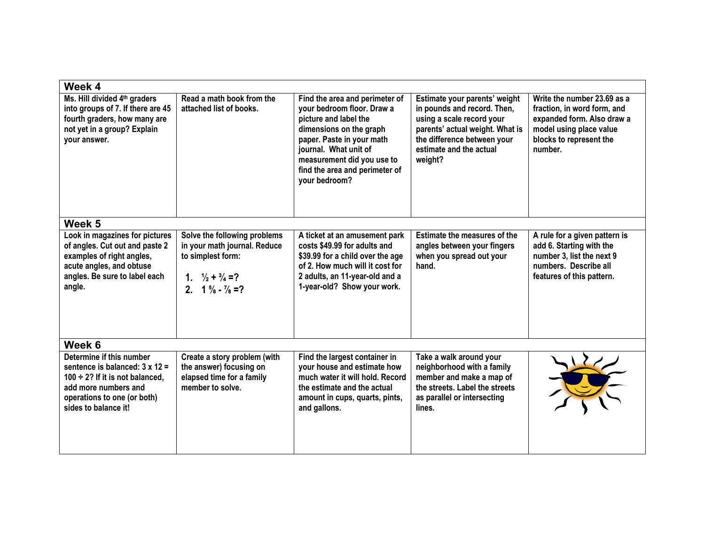| Week 4                                                                                                                                                                                   |                                                                                                                                                                  |                                                                                                                                                                                                                                                         |                                                                                                                                                                                                   |                                                                                                                                                           |
|------------------------------------------------------------------------------------------------------------------------------------------------------------------------------------------|------------------------------------------------------------------------------------------------------------------------------------------------------------------|---------------------------------------------------------------------------------------------------------------------------------------------------------------------------------------------------------------------------------------------------------|---------------------------------------------------------------------------------------------------------------------------------------------------------------------------------------------------|-----------------------------------------------------------------------------------------------------------------------------------------------------------|
| Ms. Hill divided 4th graders<br>into groups of 7. If there are 45<br>fourth graders, how many are<br>not yet in a group? Explain<br>vour answer.                                         | Read a math book from the<br>attached list of books.                                                                                                             | Find the area and perimeter of<br>your bedroom floor. Draw a<br>picture and label the<br>dimensions on the graph<br>paper. Paste in your math<br>journal. What unit of<br>measurement did you use to<br>find the area and perimeter of<br>your bedroom? | Estimate your parents' weight<br>in pounds and record. Then,<br>using a scale record your<br>parents' actual weight. What is<br>the difference between your<br>estimate and the actual<br>weight? | Write the number 23.69 as a<br>fraction, in word form, and<br>expanded form. Also draw a<br>model using place value<br>blocks to represent the<br>number. |
| Week 5                                                                                                                                                                                   |                                                                                                                                                                  |                                                                                                                                                                                                                                                         |                                                                                                                                                                                                   |                                                                                                                                                           |
| Look in magazines for pictures<br>of angles. Cut out and paste 2<br>examples of right angles,<br>acute angles, and obtuse<br>angles. Be sure to label each<br>angle.                     | Solve the following problems<br>in your math journal. Reduce<br>to simplest form:<br>1. $\frac{1}{2} + \frac{3}{4} = ?$<br>2. $1\frac{5}{8}$ - $\frac{7}{8}$ = ? | A ticket at an amusement park<br>costs \$49.99 for adults and<br>\$39.99 for a child over the age<br>of 2. How much will it cost for<br>2 adults, an 11-year-old and a<br>1-year-old? Show your work.                                                   | <b>Estimate the measures of the</b><br>angles between your fingers<br>when you spread out your<br>hand.                                                                                           | A rule for a given pattern is<br>add 6. Starting with the<br>number 3, list the next 9<br>numbers. Describe all<br>features of this pattern.              |
| Week 6                                                                                                                                                                                   |                                                                                                                                                                  |                                                                                                                                                                                                                                                         |                                                                                                                                                                                                   |                                                                                                                                                           |
| Determine if this number<br>sentence is balanced: $3 \times 12 =$<br>100 $\div$ 2? If it is not balanced,<br>add more numbers and<br>operations to one (or both)<br>sides to balance it! | Create a story problem (with<br>the answer) focusing on<br>elapsed time for a family<br>member to solve.                                                         | Find the largest container in<br>your house and estimate how<br>much water it will hold. Record<br>the estimate and the actual<br>amount in cups, quarts, pints,<br>and gallons.                                                                        | Take a walk around your<br>neighborhood with a family<br>member and make a map of<br>the streets. Label the streets<br>as parallel or intersecting<br>lines.                                      |                                                                                                                                                           |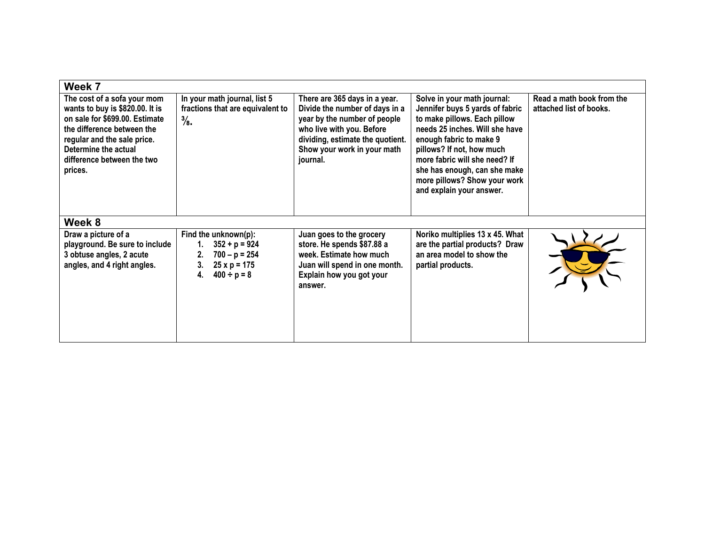| Week 7                                                                                                                                                                                                                         |                                                                                                                   |                                                                                                                                                                                                             |                                                                                                                                                                                                                                                                                                                       |                                                      |
|--------------------------------------------------------------------------------------------------------------------------------------------------------------------------------------------------------------------------------|-------------------------------------------------------------------------------------------------------------------|-------------------------------------------------------------------------------------------------------------------------------------------------------------------------------------------------------------|-----------------------------------------------------------------------------------------------------------------------------------------------------------------------------------------------------------------------------------------------------------------------------------------------------------------------|------------------------------------------------------|
| The cost of a sofa your mom<br>wants to buy is \$820.00. It is<br>on sale for \$699.00. Estimate<br>the difference between the<br>regular and the sale price.<br>Determine the actual<br>difference between the two<br>prices. | In your math journal, list 5<br>fractions that are equivalent to<br>$\frac{3}{8}$ .                               | There are 365 days in a year.<br>Divide the number of days in a<br>year by the number of people<br>who live with you. Before<br>dividing, estimate the quotient.<br>Show your work in your math<br>journal. | Solve in your math journal:<br>Jennifer buys 5 yards of fabric<br>to make pillows. Each pillow<br>needs 25 inches. Will she have<br>enough fabric to make 9<br>pillows? If not, how much<br>more fabric will she need? If<br>she has enough, can she make<br>more pillows? Show your work<br>and explain your answer. | Read a math book from the<br>attached list of books. |
| Week 8                                                                                                                                                                                                                         |                                                                                                                   |                                                                                                                                                                                                             |                                                                                                                                                                                                                                                                                                                       |                                                      |
| Draw a picture of a<br>playground. Be sure to include<br>3 obtuse angles, 2 acute<br>angles, and 4 right angles.                                                                                                               | Find the unknown(p):<br>$352 + p = 924$<br>$700 - p = 254$<br>2.<br>$25 \times p = 175$<br>$400 \div p = 8$<br>4. | Juan goes to the grocery<br>store. He spends \$87.88 a<br>week. Estimate how much<br>Juan will spend in one month.<br>Explain how you got your<br>answer.                                                   | Noriko multiplies 13 x 45. What<br>are the partial products? Draw<br>an area model to show the<br>partial products.                                                                                                                                                                                                   |                                                      |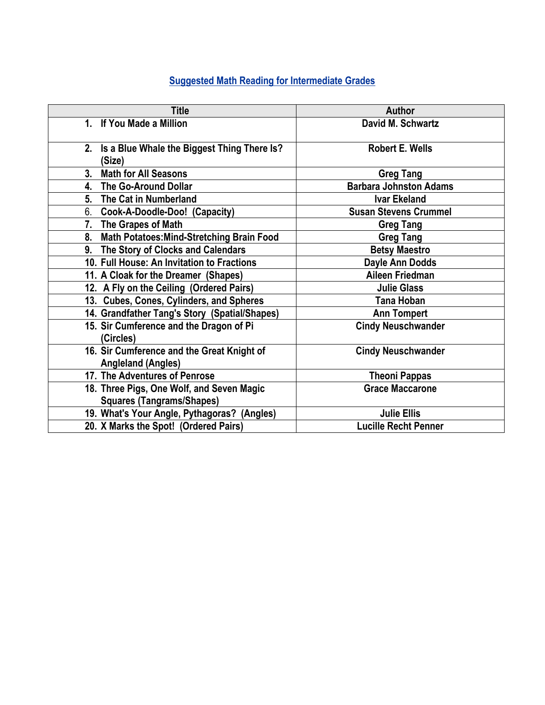## **Suggested Math Reading for Intermediate Grades**

| <b>Title</b>                                                                  | Author                        |
|-------------------------------------------------------------------------------|-------------------------------|
| 1. If You Made a Million                                                      | David M. Schwartz             |
| 2. Is a Blue Whale the Biggest Thing There Is?<br>(Size)                      | <b>Robert E. Wells</b>        |
| <b>Math for All Seasons</b><br>3.                                             | <b>Greg Tang</b>              |
| 4. The Go-Around Dollar                                                       | <b>Barbara Johnston Adams</b> |
| 5. The Cat in Numberland                                                      | <b>Ivar Ekeland</b>           |
| 6. Cook-A-Doodle-Doo! (Capacity)                                              | <b>Susan Stevens Crummel</b>  |
| 7. The Grapes of Math                                                         | <b>Greg Tang</b>              |
| 8. Math Potatoes: Mind-Stretching Brain Food                                  | <b>Greg Tang</b>              |
| 9. The Story of Clocks and Calendars                                          | <b>Betsy Maestro</b>          |
| 10. Full House: An Invitation to Fractions                                    | Dayle Ann Dodds               |
| 11. A Cloak for the Dreamer (Shapes)                                          | Aileen Friedman               |
| 12. A Fly on the Ceiling (Ordered Pairs)                                      | <b>Julie Glass</b>            |
| 13. Cubes, Cones, Cylinders, and Spheres                                      | <b>Tana Hoban</b>             |
| 14. Grandfather Tang's Story (Spatial/Shapes)                                 | <b>Ann Tompert</b>            |
| 15. Sir Cumference and the Dragon of Pi<br>(Circles)                          | <b>Cindy Neuschwander</b>     |
| 16. Sir Cumference and the Great Knight of<br><b>Angleland (Angles)</b>       | <b>Cindy Neuschwander</b>     |
| 17. The Adventures of Penrose                                                 | <b>Theoni Pappas</b>          |
| 18. Three Pigs, One Wolf, and Seven Magic<br><b>Squares (Tangrams/Shapes)</b> | <b>Grace Maccarone</b>        |
| 19. What's Your Angle, Pythagoras? (Angles)                                   | <b>Julie Ellis</b>            |
| 20. X Marks the Spot! (Ordered Pairs)                                         | <b>Lucille Recht Penner</b>   |